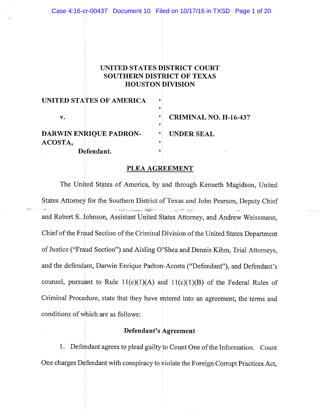# UNITED STATES DISTRICT COURT **SOUTHERN DISTRICT OF TEXAS HOUSTON DIVISION**

| UNITED STATES OF AMERICA      |                              |
|-------------------------------|------------------------------|
| v.                            | <b>CRIMINAL NO. H-16-437</b> |
| <b>DARWIN ENRIQUE PADRON-</b> | <b>I</b> UNDER SEAL          |
| ACOSTA,                       |                              |
| Defendant.                    |                              |

------

## PLEA AGREEMENT

The United States of America, by and through Kenneth Magidson, United States Attorney for the Southern District of Texas and John Pearson, Deputy Chief u značeli politika se programa pod programa se programa se programa se programa se programa se programa se pro and Robert S. Johnson, Assistant United States Attorney, and Andrew Weissmann, Chief of the Fraud Section of the Criminal Division of the United States Department of Justice ("Fraud Section") and Aisling O'Shea and Dennis Kihm, Trial Attorneys, and the defendant, Darwin Enrique Padron-Acosta ("Defendant"), and Defendant's counsel, pursuant to Rule  $11(c)(1)(A)$  and  $11(c)(1)(B)$  of the Federal Rules of Criminal Procedure, state that they have entered into an agreement, the terms and conditions of which are as follows:

# Defendant's Agreement

1. Defendant agrees to plead guilty to Count One of the Information. Count One charges Defendant with conspiracy to violate the Foreign Corrupt Practices Act,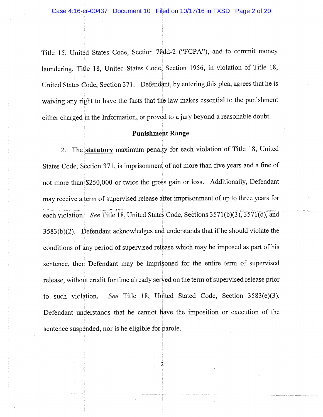Title 15, United States Code, Section 78dd-2 ("FCPA"), and to commit money laundering, Title 18, United States Code, Section 1956, in violation of Title 18, United States Code, Section 371. Defendant, by entering this plea, agrees that he is waiving any right to have the facts that the law makes essential to the punishment either charged in the Information, or proved to a jury beyond a reasonable doubt.

#### **Punishment Range**

The statutory maximum penalty for each violation of Title 18, United  $2.$ States Code, Section 371, is imprisonment of not more than five years and a fine of not more than \$250,000 or twice the gross gain or loss. Additionally, Defendant may receive a term of supervised release after imprisonment of up to three years for each violation. See Title 18, United States Code, Sections 3571(b)(3), 3571(d), and  $3583(b)(2)$ . Defendant acknowledges and understands that if he should violate the conditions of any period of supervised release which may be imposed as part of his sentence, then Defendant may be imprisoned for the entire term of supervised release, without credit for time already served on the term of supervised release prior to such violation. See Title 18, United Stated Code, Section 3583(e)(3). Defendant understands that he cannot have the imposition or execution of the sentence suspended, nor is he eligible for parole.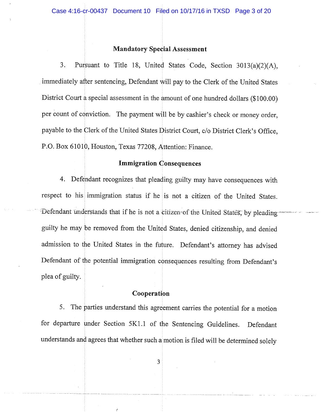#### **Mandatory Special Assessment**

3. Pursuant to Title 18, United States Code, Section 3013(a)(2)(A), immediately after sentencing, Defendant will pay to the Clerk of the United States District Court a special assessment in the amount of one hundred dollars (\$100.00) per count of conviction. The payment will be by cashier's check or money order, payable to the Clerk of the United States District Court, c/o District Clerk's Office. P.O. Box 61010, Houston, Texas 77208, Attention: Finance.

## **Immigration Consequences**

4. Defendant recognizes that pleading guilty may have consequences with respect to his immigration status if he is not a citizen of the United States. Defendant understands that if he is not a citizen of the United States, by pleading guilty he may be removed from the United States, denied citizenship, and denied admission to the United States in the future. Defendant's attorney has advised Defendant of the potential immigration consequences resulting from Defendant's plea of guilty.

## Cooperation

5. The parties understand this agreement carries the potential for a motion for departure under Section 5K1.1 of the Sentencing Guidelines. Defendant understands and agrees that whether such a motion is filed will be determined solely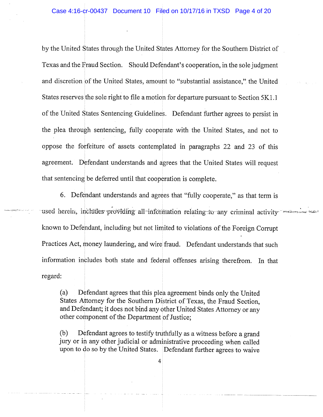by the United States through the United States Attorney for the Southern District of Texas and the Fraud Section. Should Defendant's cooperation, in the sole judgment and discretion of the United States, amount to "substantial assistance," the United States reserves the sole right to file a motion for departure pursuant to Section 5K1.1 of the United States Sentencing Guidelines. Defendant further agrees to persist in the plea through sentencing, fully cooperate with the United States, and not to oppose the forfeiture of assets contemplated in paragraphs 22 and 23 of this agreement. Defendant understands and agrees that the United States will request that sentencing be deferred until that cooperation is complete.

6. Defendant understands and agrees that "fully cooperate," as that term is used herein, includes providing all information relating to any criminal activity known to Defendant, including but not limited to violations of the Foreign Corrupt Practices Act, money laundering, and wire fraud. Defendant understands that such information includes both state and federal offenses arising therefrom. In that regard:

 $(a)$ Defendant agrees that this plea agreement binds only the United States Attorney for the Southern District of Texas, the Fraud Section, and Defendant; it does not bind any other United States Attorney or any other component of the Department of Justice;

Defendant agrees to testify truthfully as a witness before a grand  $(b)$ jury or in any other judicial or administrative proceeding when called upon to do so by the United States. Defendant further agrees to waive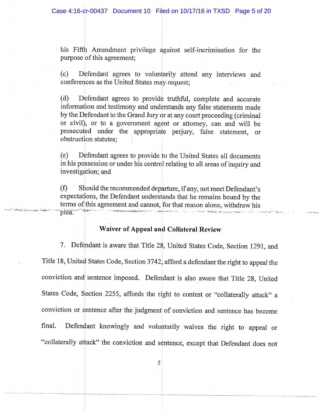his Fifth Amendment privilege against self-incrimination for the purpose of this agreement;

Defendant agrees to voluntarily attend any interviews and  $(c)$ conferences as the United States may request;

Defendant agrees to provide truthful, complete and accurate  $(d)$ information and testimony and understands any false statements made by the Defendant to the Grand Jury or at any court proceeding (criminal or civil), or to a government agent or attorney, can and will be prosecuted under the appropriate perjury, false statement, or obstruction statutes;

Defendant agrees to provide to the United States all documents  $(e)$ in his possession or under his control relating to all areas of inquiry and investigation; and

 $(f)$ Should the recommended departure, if any, not meet Defendant's expectations, the Defendant understands that he remains bound by the terms of this agreement and cannot, for that reason alone, withdraw his plea.

# Waiver of Appeal and Collateral Review

7. Defendant is aware that Title 28, United States Code, Section 1291, and Title 18, United States Code, Section 3742, afford a defendant the right to appeal the conviction and sentence imposed. Defendant is also aware that Title 28, United States Code, Section 2255, affords the right to contest or "collaterally attack" a conviction or sentence after the judgment of conviction and sentence has become Defendant knowingly and voluntarily waives the right to appeal or final. "collaterally attack" the conviction and sentence, except that Defendant does not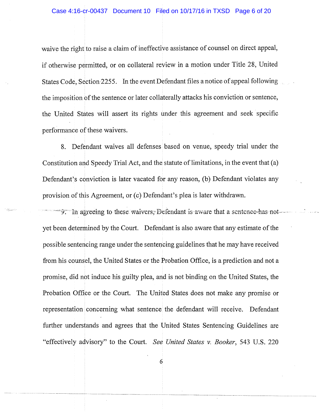waive the right to raise a claim of ineffective assistance of counsel on direct appeal, if otherwise permitted, or on collateral review in a motion under Title 28, United States Code, Section 2255. In the event Defendant files a notice of appeal following the imposition of the sentence or later collaterally attacks his conviction or sentence, the United States will assert its rights under this agreement and seek specific performance of these waivers.

8. Defendant waives all defenses based on venue, speedy trial under the Constitution and Speedy Trial Act, and the statute of limitations, in the event that (a) Defendant's conviction is later vacated for any reason, (b) Defendant violates any provision of this Agreement, or (c) Defendant's plea is later withdrawn.

 $\frac{1}{2}$ . In agreeing to these waivers, Defendant is aware that a sentence-has-notyet been determined by the Court. Defendant is also aware that any estimate of the possible sentencing range under the sentencing guidelines that he may have received from his counsel, the United States or the Probation Office, is a prediction and not a promise, did not induce his guilty plea, and is not binding on the United States, the Probation Office or the Court. The United States does not make any promise or representation concerning what sentence the defendant will receive. Defendant further understands and agrees that the United States Sentencing Guidelines are "effectively advisory" to the Court. See United States v. Booker, 543 U.S. 220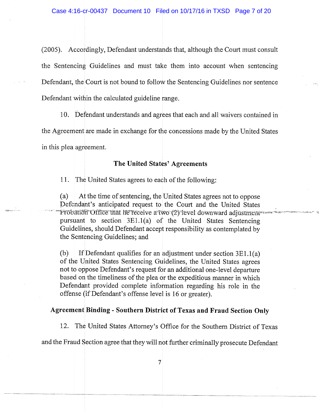(2005). Accordingly, Defendant understands that, although the Court must consult the Sentencing Guidelines and must take them into account when sentencing Defendant, the Court is not bound to follow the Sentencing Guidelines nor sentence Defendant within the calculated guideline range.

10. Defendant understands and agrees that each and all waivers contained in the Agreement are made in exchange for the concessions made by the United States in this plea agreement.

## The United States' Agreements

11. The United States agrees to each of the following:

 $(a)$ At the time of sentencing, the United States agrees not to oppose Defendant's anticipated request to the Court and the United States Probation Office that he receive a two (2) level downward adjustment pursuant to section 3E1.1(a) of the United States Sentencing Guidelines, should Defendant accept responsibility as contemplated by the Sentencing Guidelines; and

 $(b)$ If Defendant qualifies for an adjustment under section  $3E1.1(a)$ of the United States Sentencing Guidelines, the United States agrees not to oppose Defendant's request for an additional one-level departure based on the timeliness of the plea or the expeditious manner in which Defendant provided complete information regarding his role in the offense (if Defendant's offense level is 16 or greater).

#### **Agreement Binding - Southern District of Texas and Fraud Section Only**

12. The United States Attorney's Office for the Southern District of Texas and the Fraud Section agree that they will not further criminally prosecute Defendant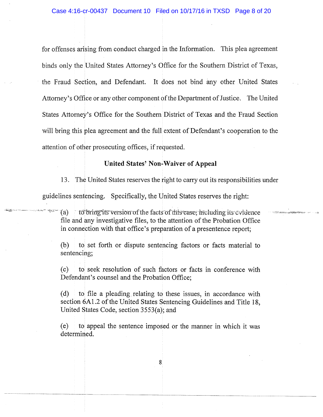for offenses arising from conduct charged in the Information. This plea agreement binds only the United States Attorney's Office for the Southern District of Texas, the Fraud Section, and Defendant. It does not bind any other United States Attorney's Office or any other component of the Department of Justice. The United States Attorney's Office for the Southern District of Texas and the Fraud Section will bring this plea agreement and the full extent of Defendant's cooperation to the attention of other prosecuting offices, if requested.

## **United States' Non-Waiver of Appeal**

13. The United States reserves the right to carry out its responsibilities under guidelines sentencing. Specifically, the United States reserves the right:

to bring its version of the facts of this case, including its evidence  $\mathcal{I}(\ddot{a})$ file and any investigative files, to the attention of the Probation Office in connection with that office's preparation of a presentence report;

(b) to set forth or dispute sentencing factors or facts material to sentencing;

to seek resolution of such factors or facts in conference with  $(c)$ Defendant's counsel and the Probation Office;

to file a pleading relating to these issues, in accordance with  $(d)$ section 6A1.2 of the United States Sentencing Guidelines and Title 18. United States Code, section 3553(a); and

 $(e)$ to appeal the sentence imposed or the manner in which it was determined.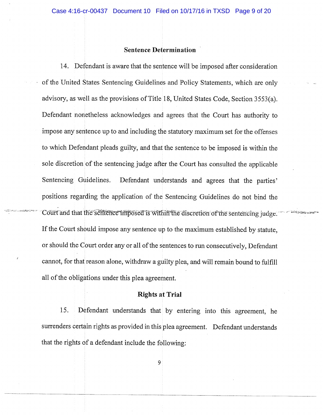## **Sentence Determination**

14. Defendant is aware that the sentence will be imposed after consideration of the United States Sentencing Guidelines and Policy Statements, which are only advisory, as well as the provisions of Title 18, United States Code, Section 3553(a). Defendant nonetheless acknowledges and agrees that the Court has authority to impose any sentence up to and including the statutory maximum set for the offenses to which Defendant pleads guilty, and that the sentence to be imposed is within the sole discretion of the sentencing judge after the Court has consulted the applicable Sentencing Guidelines. Defendant understands and agrees that the parties' positions regarding the application of the Sentencing Guidelines do not bind the Court and that the semence imposed is within the discretion of the sentencing judge. If the Court should impose any sentence up to the maximum established by statute, or should the Court order any or all of the sentences to run consecutively, Defendant cannot, for that reason alone, withdraw a guilty plea, and will remain bound to fulfill all of the obligations under this plea agreement.

`≓∿ిశ*ము*≳ాహ

#### **Rights at Trial**

Defendant understands that by entering into this agreement, he 15. surrenders certain rights as provided in this plea agreement. Defendant understands that the rights of a defendant include the following: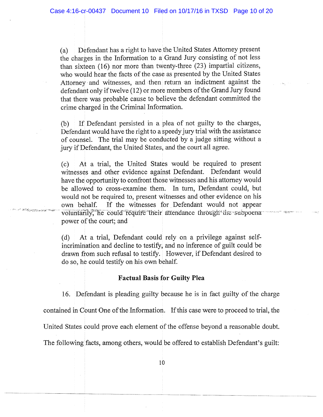Defendant has a right to have the United States Attorney present  $(a)$ the charges in the Information to a Grand Jury consisting of not less than sixteen (16) nor more than twenty-three (23) impartial citizens, who would hear the facts of the case as presented by the United States Attorney and witnesses, and then return an indictment against the defendant only if twelve (12) or more members of the Grand Jury found that there was probable cause to believe the defendant committed the crime charged in the Criminal Information.

If Defendant persisted in a plea of not guilty to the charges,  $(b)$ Defendant would have the right to a speedy jury trial with the assistance of counsel. The trial may be conducted by a judge sitting without a jury if Defendant, the United States, and the court all agree.

At a trial, the United States would be required to present  $(c)$ witnesses and other evidence against Defendant. Defendant would have the opportunity to confront those witnesses and his attorney would be allowed to cross-examine them. In turn, Defendant could, but would not be required to, present witnesses and other evidence on his own behalf. If the witnesses for Defendant would not appear voluntarily, he could require their attendance through the subpoena power of the court; and

فتحصير وجحاركما

 $(d)$ At a trial, Defendant could rely on a privilege against selfincrimination and decline to testify, and no inference of guilt could be drawn from such refusal to testify. However, if Defendant desired to do so, he could testify on his own behalf.

#### **Factual Basis for Guilty Plea**

16. Defendant is pleading guilty because he is in fact guilty of the charge contained in Count One of the Information. If this case were to proceed to trial, the United States could prove each element of the offense beyond a reasonable doubt. The following facts, among others, would be offered to establish Defendant's guilt: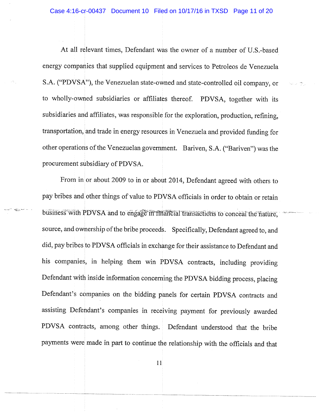At all relevant times, Defendant was the owner of a number of U.S.-based energy companies that supplied equipment and services to Petroleos de Venezuela S.A. ("PDVSA"), the Venezuelan state-owned and state-controlled oil company, or to wholly-owned subsidiaries or affiliates thereof. PDVSA, together with its subsidiaries and affiliates, was responsible for the exploration, production, refining, transportation, and trade in energy resources in Venezuela and provided funding for other operations of the Venezuelan government. Bariven, S.A. ("Bariven") was the procurement subsidiary of PDVSA.

From in or about 2009 to in or about 2014, Defendant agreed with others to pay bribes and other things of value to PDVSA officials in order to obtain or retain business with PDVSA and to engage in financial transactions to conceal the nature. source, and ownership of the bribe proceeds. Specifically, Defendant agreed to, and did, pay bribes to PDVSA officials in exchange for their assistance to Defendant and his companies, in helping them win PDVSA contracts, including providing Defendant with inside information concerning the PDVSA bidding process, placing Defendant's companies on the bidding panels for certain PDVSA contracts and assisting Defendant's companies in receiving payment for previously awarded PDVSA contracts, among other things. Defendant understood that the bribe payments were made in part to continue the relationship with the officials and that

 $\frac{1}{2} \sum_{i=1}^n \sum_{j=1}^n \sum_{j=1}^n$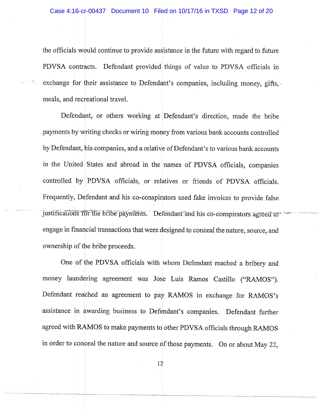the officials would continue to provide assistance in the future with regard to future PDVSA contracts. Defendant provided things of value to PDVSA officials in exchange for their assistance to Defendant's companies, including money, gifts, meals, and recreational travel.

Defendant, or others working at Defendant's direction, made the bribe payments by writing checks or wiring money from various bank accounts controlled by Defendant, his companies, and a relative of Defendant's to various bank accounts in the United States and abroad in the names of PDVSA officials, companies controlled by PDVSA officials, or relatives or friends of PDVSA officials. Frequently, Defendant and his co-conspirators used fake invoices to provide false justifications for the bribe payments. Defendant and his co-conspirators agreed to engage in financial transactions that were designed to conceal the nature, source, and ownership of the bribe proceeds.

One of the PDVSA officials with whom Defendant reached a bribery and money laundering agreement was Jose Luis Ramos Castillo ("RAMOS"). Defendant reached an agreement to pay RAMOS in exchange for RAMOS's assistance in awarding business to Defendant's companies. Defendant further agreed with RAMOS to make payments to other PDVSA officials through RAMOS in order to conceal the nature and source of those payments. On or about May 22,

 $12 \overline{ }$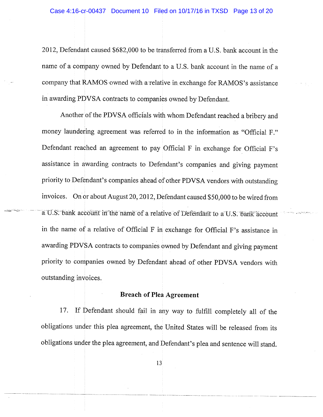2012, Defendant caused \$682,000 to be transferred from a U.S. bank account in the name of a company owned by Defendant to a U.S. bank account in the name of a company that RAMOS owned with a relative in exchange for RAMOS's assistance in awarding PDVSA contracts to companies owned by Defendant.

Another of the PDVSA officials with whom Defendant reached a bribery and money laundering agreement was referred to in the information as "Official F." Defendant reached an agreement to pay Official F in exchange for Official F's assistance in awarding contracts to Defendant's companies and giving payment priority to Defendant's companies ahead of other PDVSA vendors with outstanding invoices. On or about August 20, 2012, Defendant caused \$50,000 to be wired from a U.S. bank account in the name of a relative of Defendant to a U.S. bank account in the name of a relative of Official F in exchange for Official F's assistance in awarding PDVSA contracts to companies owned by Defendant and giving payment priority to companies owned by Defendant ahead of other PDVSA vendors with outstanding invoices.

#### **Breach of Plea Agreement**

If Defendant should fail in any way to fulfill completely all of the 17. obligations under this plea agreement, the United States will be released from its obligations under the plea agreement, and Defendant's plea and sentence will stand.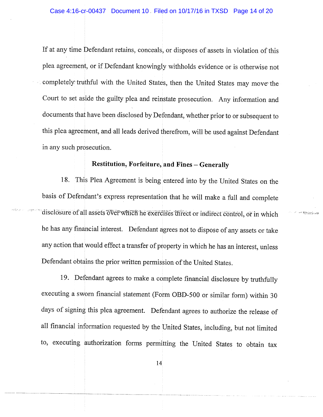If at any time Defendant retains, conceals, or disposes of assets in violation of this plea agreement, or if Defendant knowingly withholds evidence or is otherwise not completely truthful with the United States, then the United States may move the Court to set aside the guilty plea and reinstate prosecution. Any information and documents that have been disclosed by Defendant, whether prior to or subsequent to this plea agreement, and all leads derived therefrom, will be used against Defendant in any such prosecution.

# Restitution, Forfeiture, and Fines - Generally

18. This Plea Agreement is being entered into by the United States on the basis of Defendant's express representation that he will make a full and complete disclosure of all assets over which he exercises direct or indirect control, or in which he has any financial interest. Defendant agrees not to dispose of any assets or take any action that would effect a transfer of property in which he has an interest, unless Defendant obtains the prior written permission of the United States.

**ARCTORYSTER** 

19. Defendant agrees to make a complete financial disclosure by truthfully executing a sworn financial statement (Form OBD-500 or similar form) within 30 days of signing this plea agreement. Defendant agrees to authorize the release of all financial information requested by the United States, including, but not limited to, executing authorization forms permitting the United States to obtain tax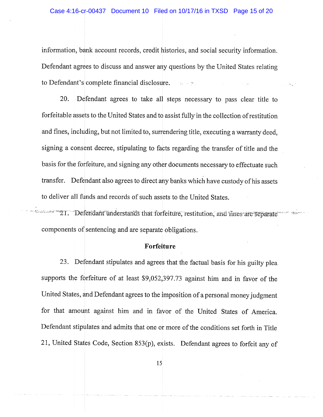information, bank account records, credit histories, and social security information. Defendant agrees to discuss and answer any questions by the United States relating to Defendant's complete financial disclosure.  $\mathbb{R}^n$ 

Defendant agrees to take all steps necessary to pass clear title to 20. forfeitable assets to the United States and to assist fully in the collection of restitution and fines, including, but not limited to, surrendering title, executing a warranty deed, signing a consent decree, stipulating to facts regarding the transfer of title and the basis for the forfeiture, and signing any other documents necessary to effectuate such transfer. Defendant also agrees to direct any banks which have custody of his assets to deliver all funds and records of such assets to the United States.

21. Defendant understands that forfeiture, restitution, and fines are separate components of sentencing and are separate obligations.

## Forfeiture

23. Defendant stipulates and agrees that the factual basis for his guilty plea supports the forfeiture of at least \$9,052,397.73 against him and in favor of the United States, and Defendant agrees to the imposition of a personal money judgment for that amount against him and in favor of the United States of America. Defendant stipulates and admits that one or more of the conditions set forth in Title 21, United States Code, Section 853(p), exists. Defendant agrees to forfeit any of

 $15<sup>2</sup>$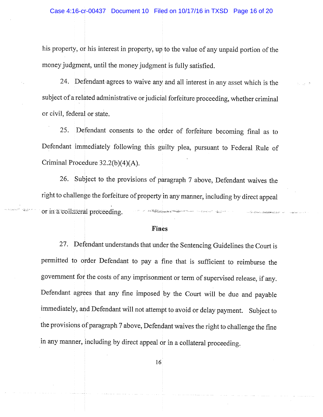his property, or his interest in property, up to the value of any unpaid portion of the money judgment, until the money judgment is fully satisfied.

24. Defendant agrees to waive any and all interest in any asset which is the subject of a related administrative or judicial forfeiture proceeding, whether criminal or civil, federal or state.

Defendant consents to the order of forfeiture becoming final as to  $25.$ Defendant immediately following this guilty plea, pursuant to Federal Rule of Criminal Procedure  $32.2(b)(4)(A)$ .

26. Subject to the provisions of paragraph 7 above, Defendant waives the right to challenge the forfeiture of property in any manner, including by direct appeal or in a collateral proceeding. and the company of the company of the company of the company of the company of the company of the company of the company of the company of the company of the company of the company of the company of the company of the comp

ماليوني في المستحقين

#### **Fines**

27. Defendant understands that under the Sentencing Guidelines the Court is permitted to order Defendant to pay a fine that is sufficient to reimburse the government for the costs of any imprisonment or term of supervised release, if any. Defendant agrees that any fine imposed by the Court will be due and payable immediately, and Defendant will not attempt to avoid or delay payment. Subject to the provisions of paragraph 7 above, Defendant waives the right to challenge the fine in any manner, including by direct appeal or in a collateral proceeding.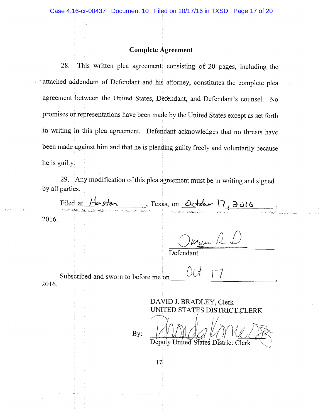## **Complete Agreement**

This written plea agreement, consisting of 20 pages, including the 28. attached addendum of Defendant and his attorney, constitutes the complete plea agreement between the United States, Defendant, and Defendant's counsel. No promises or representations have been made by the United States except as set forth in writing in this plea agreement. Defendant acknowledges that no threats have been made against him and that he is pleading guilty freely and voluntarily because he is guilty.

29. Any modification of this plea agreement must be in writing and signed by all parties.

Filed at Houston, Texas, on October 17, 2016 2016.

Juryn Pr. L

Defendant

 $\bigcup$ 

Subscribed and sworn to before me on 2016.

> DAVID J. BRADLEY, Clerk UNITED STATES DISTRICT CLERK

Deputy United States District Clerk

By: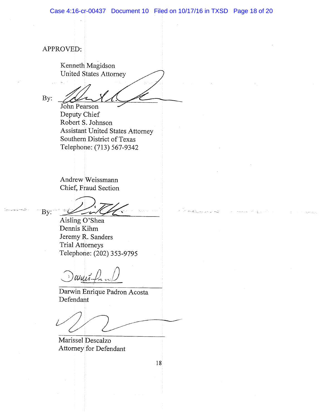APPROVED: Kenneth Magidson **United States Attorney** By: John Pearson Deputy Chief Robert S. Johnson Assistant United States Attorney Southern District of Texas Telephone: (713) 567-9342 Andrew Weissmann Chief, Fraud Section By: Aisling O'Shea Dennis Kihm Jeremy R. Sanders Trial Attorneys Telephone: (202) 353-9795 cisuit Darwin Enrique Padron Acosta Defendant Marissel Descalzo Attorney for Defendant 18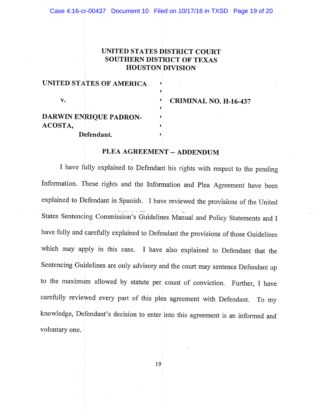## UNITED STATES DISTRICT COURT SOUTHERN DISTRICT OF TEXAS **HOUSTON DIVISION**

| UNITED STATES OF AMERICA |  |
|--------------------------|--|
| v.                       |  |
| DARWIN ENRIQUE PADRON-   |  |
| ACOSTA,                  |  |
| Defendant.               |  |

**CRIMINAL NO. H-16-437** 

## PLEA AGREEMENT -- ADDENDUM

I have fully explained to Defendant his rights with respect to the pending Information. These rights and the Information and Plea Agreement have been explained to Defendant in Spanish. I have reviewed the provisions of the United States Sentencing Commission's Guidelines Manual and Policy Statements and I have fully and carefully explained to Defendant the provisions of those Guidelines which may apply in this case. I have also explained to Defendant that the Sentencing Guidelines are only advisory and the court may sentence Defendant up to the maximum allowed by statute per count of conviction. Further, I have carefully reviewed every part of this plea agreement with Defendant. To my knowledge, Defendant's decision to enter into this agreement is an informed and voluntary one.